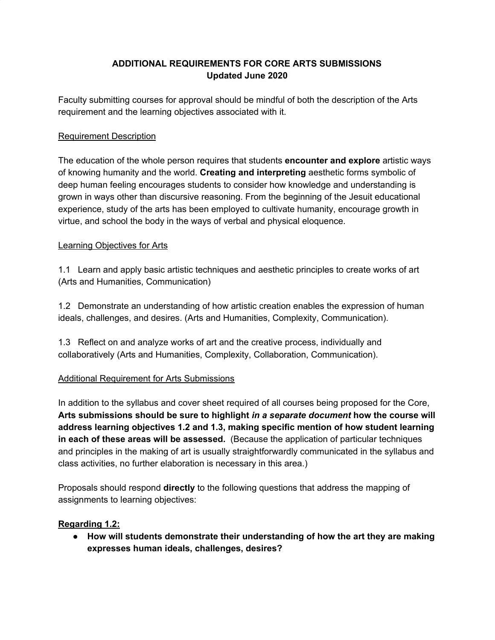# **ADDITIONAL REQUIREMENTS FOR CORE ARTS SUBMISSIONS Updated June 2020**

Faculty submitting courses for approval should be mindful of both the description of the Arts requirement and the learning objectives associated with it.

#### Requirement Description

The education of the whole person requires that students **encounter and explore** artistic ways of knowing humanity and the world. **Creating and interpreting** aesthetic forms symbolic of deep human feeling encourages students to consider how knowledge and understanding is grown in ways other than discursive reasoning. From the beginning of the Jesuit educational experience, study of the arts has been employed to cultivate humanity, encourage growth in virtue, and school the body in the ways of verbal and physical eloquence.

#### Learning Objectives for Arts

1.1 Learn and apply basic artistic techniques and aesthetic principles to create works of art (Arts and Humanities, Communication)

1.2 Demonstrate an understanding of how artistic creation enables the expression of human ideals, challenges, and desires. (Arts and Humanities, Complexity, Communication).

1.3 Reflect on and analyze works of art and the creative process, individually and collaboratively (Arts and Humanities, Complexity, Collaboration, Communication).

## Additional Requirement for Arts Submissions

In addition to the syllabus and cover sheet required of all courses being proposed for the Core, **Arts submissions should be sure to highlight** *in a separate document* **how the course will address learning objectives 1.2 and 1.3, making specific mention of how student learning in each of these areas will be assessed.** (Because the application of particular techniques and principles in the making of art is usually straightforwardly communicated in the syllabus and class activities, no further elaboration is necessary in this area.)

Proposals should respond **directly** to the following questions that address the mapping of assignments to learning objectives:

#### **Regarding 1.2:**

**● How will students demonstrate their understanding of how the art they are making expresses human ideals, challenges, desires?**